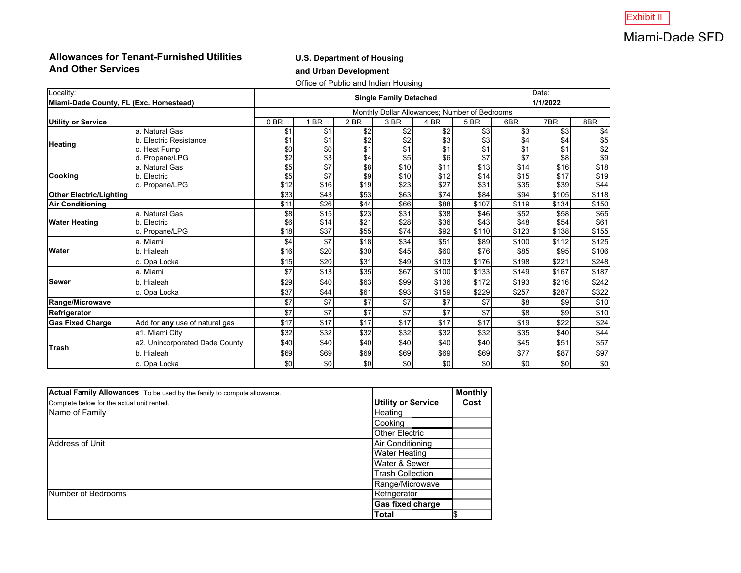#### **Allowances for Tenant-Furnished Utilities And Other Services**

#### **U.S. Department of Housing and Urban Development**

Office of Public and Indian Housing

| Locality:<br>Miami-Dade County, FL (Exc. Homestead) | Date:<br><b>Single Family Detached</b><br>1/1/2022 |                                               |           |      |      |       |       |       |       |          |  |
|-----------------------------------------------------|----------------------------------------------------|-----------------------------------------------|-----------|------|------|-------|-------|-------|-------|----------|--|
|                                                     |                                                    | Monthly Dollar Allowances; Number of Bedrooms |           |      |      |       |       |       |       |          |  |
| <b>Utility or Service</b>                           |                                                    | 0 <sub>BR</sub>                               | <b>BR</b> | 2 BR | 3 BR | 4 BR  | 5 BR  | 6BR   | 7BR   | 8BR      |  |
|                                                     | a. Natural Gas                                     | \$1                                           | \$1       | \$2  | \$2  | \$2   | \$3   | \$3   | \$3   | \$4      |  |
| <b>Heating</b>                                      | b. Electric Resistance                             | \$1                                           | \$1       | \$2  | \$2  | \$3   | \$3   | \$4   | \$4   | \$5      |  |
|                                                     | c. Heat Pump                                       | \$0                                           | \$0       | \$1  | \$1  | \$1   | \$1   | \$1   | \$1   | \$2      |  |
|                                                     | d. Propane/LPG                                     | \$2                                           | \$3       | \$4  | \$5  | \$6   | \$7   | \$7   | \$8   | .<br>\$9 |  |
|                                                     | a. Natural Gas                                     | \$5                                           | \$7       | \$8  | \$10 | \$11  | \$13  | \$14  | \$16  | \$18     |  |
| <b>Cooking</b>                                      | b. Electric                                        | \$5                                           | \$7       | \$9  | \$10 | \$12  | \$14  | \$15  | \$17  | \$19     |  |
|                                                     | c. Propane/LPG                                     | \$12                                          | \$16      | \$19 | \$23 | \$27  | \$31  | \$35  | \$39  | \$44     |  |
| <b>Other Electric/Lighting</b>                      |                                                    | \$33                                          | \$43      | \$53 | \$63 | \$74  | \$84  | \$94  | \$105 | \$118    |  |
| <b>Air Conditioning</b>                             |                                                    | \$11                                          | \$26      | \$44 | \$66 | \$88  | \$107 | \$119 | \$134 | \$150    |  |
|                                                     | a. Natural Gas                                     | \$8                                           | \$15      | \$23 | \$31 | \$38  | \$46  | \$52  | \$58  | \$65     |  |
| <b>Water Heating</b>                                | b. Electric                                        | \$6                                           | \$14      | \$21 | \$28 | \$36  | \$43  | \$48  | \$54  | \$61     |  |
|                                                     | c. Propane/LPG                                     | \$18                                          | \$37      | \$55 | \$74 | \$92  | \$110 | \$123 | \$138 | \$155    |  |
|                                                     | a. Miami                                           | \$4                                           | \$7       | \$18 | \$34 | \$51  | \$89  | \$100 | \$112 | \$125    |  |
| <b>Water</b>                                        | b. Hialeah                                         | \$16                                          | \$20      | \$30 | \$45 | \$60  | \$76  | \$85  | \$95  | \$106    |  |
|                                                     | c. Opa Locka                                       | \$15                                          | \$20      | \$31 | \$49 | \$103 | \$176 | \$198 | \$221 | \$248    |  |
|                                                     | a. Miami                                           | \$7                                           | \$13      | \$35 | \$67 | \$100 | \$133 | \$149 | \$167 | \$187    |  |
| <b>Sewer</b>                                        | b. Hialeah                                         | \$29                                          | \$40      | \$63 | \$99 | \$136 | \$172 | \$193 | \$216 | \$242    |  |
|                                                     | c. Opa Locka                                       | \$37                                          | \$44      | \$61 | \$93 | \$159 | \$229 | \$257 | \$287 | \$322    |  |
| Range/Microwave                                     |                                                    | \$7                                           | \$7       | \$7  | \$7  | \$7   | \$7   | \$8   | \$9   | \$10     |  |
| Refrigerator                                        |                                                    | \$7                                           | \$7       | \$7  | \$7  | \$7   | \$7   | \$8   | \$9   | \$10     |  |
| <b>Gas Fixed Charge</b>                             | Add for any use of natural gas                     | \$17                                          | \$17      | \$17 | \$17 | \$17  | \$17  | \$19  | \$22  | \$24     |  |
|                                                     | a1. Miami City                                     | \$32                                          | \$32      | \$32 | \$32 | \$32  | \$32  | \$35  | \$40  | \$44     |  |
|                                                     | a2. Unincorporated Dade County                     | \$40                                          | \$40      | \$40 | \$40 | \$40  | \$40  | \$45  | \$51  | \$57     |  |
| <b>Trash</b>                                        | b. Hialeah                                         | \$69                                          | \$69      | \$69 | \$69 | \$69  | \$69  | \$77  | \$87  | \$97     |  |
|                                                     | c. Opa Locka                                       | \$0                                           | \$0       | \$0  | \$0  | \$0   | \$0   | \$0   | \$0   | \$0      |  |

| Actual Family Allowances To be used by the family to compute allowance. |                           | <b>Monthly</b> |
|-------------------------------------------------------------------------|---------------------------|----------------|
| Complete below for the actual unit rented.                              | <b>Utility or Service</b> | Cost           |
| Name of Family                                                          | Heating                   |                |
|                                                                         | Cooking                   |                |
|                                                                         | <b>Other Electric</b>     |                |
| <b>Address of Unit</b>                                                  | Air Conditioning          |                |
|                                                                         | <b>Water Heating</b>      |                |
|                                                                         | Water & Sewer             |                |
|                                                                         | <b>Trash Collection</b>   |                |
|                                                                         | Range/Microwave           |                |
| Number of Bedrooms                                                      | Refrigerator              |                |
|                                                                         | <b>Gas fixed charge</b>   |                |
|                                                                         | <b>Total</b>              | 1\$            |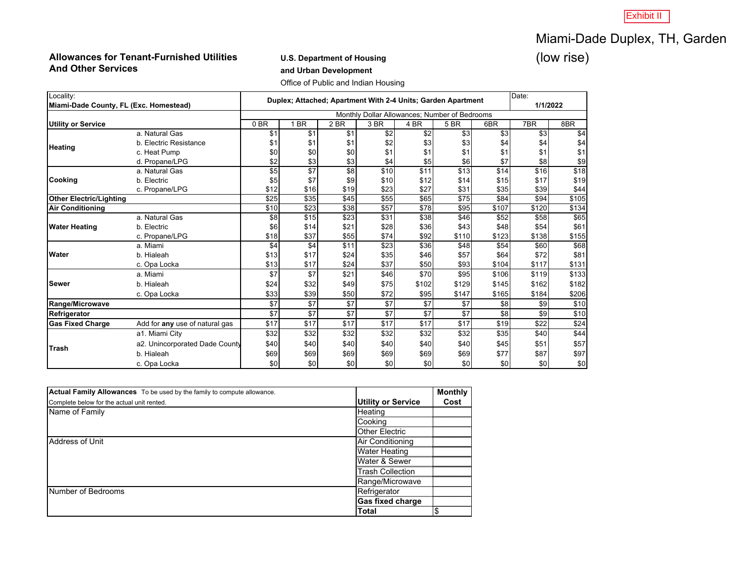# Miami-Dade Duplex, TH, Garden (low rise)

Exhibit II

#### **Allowances for Tenant-Furnished Utilities And Other Services**

## **U.S. Department of Housing**

**and Urban Development**

Office of Public and Indian Housing

| Locality:<br>Miami-Dade County, FL (Exc. Homestead) |                                | Duplex; Attached; Apartment With 2-4 Units; Garden Apartment |                  |      |      |       |       |       |       | Date:<br>1/1/2022 |  |
|-----------------------------------------------------|--------------------------------|--------------------------------------------------------------|------------------|------|------|-------|-------|-------|-------|-------------------|--|
|                                                     |                                | Monthly Dollar Allowances; Number of Bedrooms                |                  |      |      |       |       |       |       |                   |  |
| <b>Utility or Service</b>                           | 0 <sub>BR</sub>                | <b>BR</b>                                                    | 2 BR             | 3 BR | 4 BR | 5 BR  | 6BR   | 7BR   | 8BR   |                   |  |
|                                                     | a. Natural Gas                 | \$1                                                          | \$1              | \$1  | \$2  | \$2   | \$3   | \$3   | \$3   | \$4               |  |
|                                                     | b. Electric Resistance         | \$1                                                          | \$1              | \$1  | \$2  | \$3   | \$3   | \$4   | \$4   | \$4               |  |
| <b>Heating</b>                                      | c. Heat Pump                   | \$0                                                          | \$0              | \$0  | \$1  | \$1   | \$1   | \$1   | \$1   | \$1               |  |
|                                                     | d. Propane/LPG                 | \$2                                                          | \$3              | \$3  | \$4  | \$5   | \$6   | \$7   | \$8   | \$9               |  |
|                                                     | a. Natural Gas                 | \$5                                                          | $\overline{\$7}$ | \$8  | \$10 | \$11  | \$13  | \$14  | \$16  | \$18              |  |
| <b>Cooking</b>                                      | b. Electric                    | \$5                                                          | \$7              | \$9  | \$10 | \$12  | \$14  | \$15  | \$17  | \$19              |  |
|                                                     | c. Propane/LPG                 | \$12                                                         | \$16             | \$19 | \$23 | \$27  | \$31  | \$35  | \$39  | \$44              |  |
| <b>Other Electric/Lighting</b>                      |                                | \$25                                                         | \$35             | \$45 | \$55 | \$65  | \$75  | \$84  | \$94  | \$105             |  |
| <b>Air Conditioning</b>                             |                                | \$10                                                         | \$23             | \$38 | \$57 | \$78  | \$95  | \$107 | \$120 | \$134             |  |
|                                                     | a. Natural Gas                 | \$8                                                          | \$15             | \$23 | \$31 | \$38  | \$46  | \$52  | \$58  | \$65              |  |
| <b>Water Heating</b>                                | b. Electric                    | \$6                                                          | \$14             | \$21 | \$28 | \$36  | \$43  | \$48  | \$54  | \$61              |  |
|                                                     | c. Propane/LPG                 | \$18                                                         | \$37             | \$55 | \$74 | \$92  | \$110 | \$123 | \$138 | \$155             |  |
|                                                     | a. Miami                       | \$4                                                          | \$4              | \$11 | \$23 | \$36  | \$48  | \$54  | \$60  | \$68              |  |
| <b>Water</b>                                        | b. Hialeah                     | \$13                                                         | \$17             | \$24 | \$35 | \$46  | \$57  | \$64  | \$72  | \$81              |  |
|                                                     | c. Opa Locka                   | \$13                                                         | \$17             | \$24 | \$37 | \$50  | \$93  | \$104 | \$117 | \$131             |  |
|                                                     | a. Miami                       | \$7                                                          | \$7              | \$21 | \$46 | \$70  | \$95  | \$106 | \$119 | \$133             |  |
| <b>Sewer</b>                                        | b. Hialeah                     | \$24                                                         | \$32             | \$49 | \$75 | \$102 | \$129 | \$145 | \$162 | \$182             |  |
|                                                     | c. Opa Locka                   | \$33                                                         | \$39             | \$50 | \$72 | \$95  | \$147 | \$165 | \$184 | \$206             |  |
| Range/Microwave                                     |                                | \$7                                                          | \$7              | \$7  | \$7  | \$7   | \$7   | \$8   | \$9   | \$10              |  |
| Refrigerator                                        |                                | \$7                                                          | \$7              | \$7  | \$7  | \$7   | \$7   | \$8   | \$9   | \$10              |  |
| <b>Gas Fixed Charge</b>                             | Add for any use of natural gas | \$17                                                         | \$17             | \$17 | \$17 | \$17  | \$17  | \$19  | \$22  | \$24              |  |
|                                                     | a1. Miami City                 | \$32                                                         | \$32             | \$32 | \$32 | \$32  | \$32  | \$35  | \$40  | \$44              |  |
|                                                     | a2. Unincorporated Dade County | \$40                                                         | \$40             | \$40 | \$40 | \$40  | \$40  | \$45  | \$51  | \$57              |  |
| Trash                                               | b. Hialeah                     | \$69                                                         | \$69             | \$69 | \$69 | \$69  | \$69  | \$77  | \$87  | \$97              |  |
|                                                     | c. Opa Locka                   | \$0                                                          | \$0              | \$0  | \$0  | \$0   | \$0   | \$0   | \$0   | $\$0$             |  |

| Actual Family Allowances To be used by the family to compute allowance. |                           | <b>Monthly</b> |
|-------------------------------------------------------------------------|---------------------------|----------------|
| Complete below for the actual unit rented.                              | <b>Utility or Service</b> | Cost           |
| Name of Family                                                          | Heating                   |                |
|                                                                         | Cooking                   |                |
|                                                                         | <b>Other Electric</b>     |                |
| <b>Address of Unit</b>                                                  | Air Conditioning          |                |
|                                                                         | <b>Water Heating</b>      |                |
|                                                                         | Water & Sewer             |                |
|                                                                         | <b>Trash Collection</b>   |                |
|                                                                         | Range/Microwave           |                |
| Number of Bedrooms                                                      | Refrigerator              |                |
|                                                                         | Gas fixed charge          |                |
|                                                                         | Total                     |                |